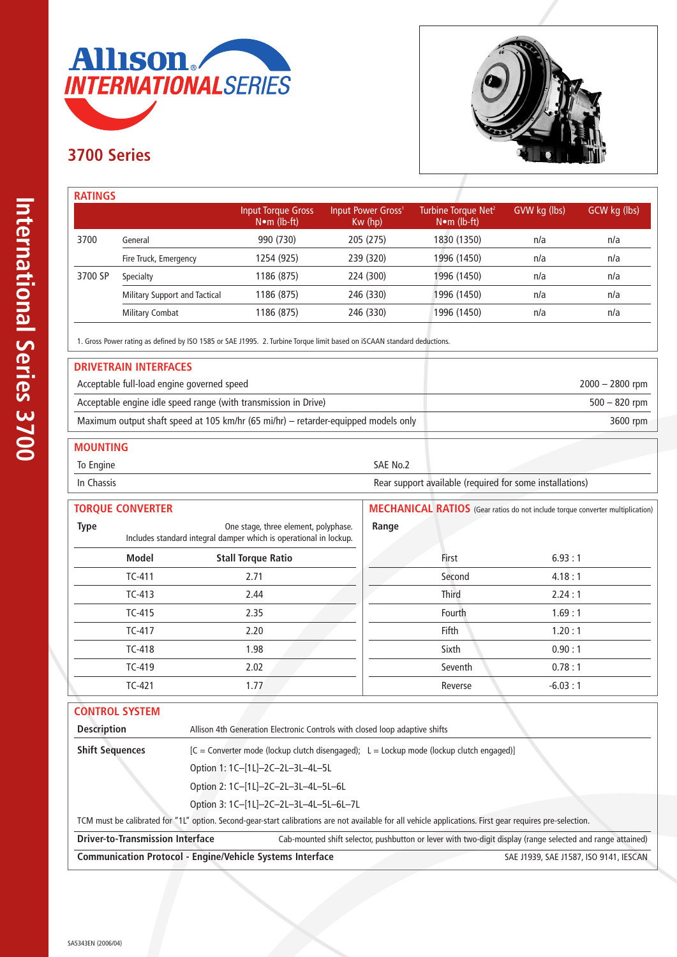



## **3700 Series**

|                               | Input Torque Gross<br>$N \bullet m$ (lb-ft) | Input Power Gross <sup>1</sup><br>$Kw$ (hp) | Turbine Torque Net <sup>2</sup><br>$N \cdot m$ (lb-ft) | GVW kg (lbs) | GCW kg (lbs) |
|-------------------------------|---------------------------------------------|---------------------------------------------|--------------------------------------------------------|--------------|--------------|
| General                       | 990 (730)                                   | 205 (275)                                   | 1830 (1350)                                            | n/a          | n/a          |
| Fire Truck, Emergency         | 1254 (925)                                  | 239 (320)                                   | 1996 (1450)                                            | n/a          | n/a          |
| Specialty                     | 1186 (875)                                  | 224 (300)                                   | 1996 (1450)                                            | n/a          | n/a          |
| Military Support and Tactical | 1186 (875)                                  | 246 (330)                                   | 1996 (1450)                                            | n/a          | n/a          |
| <b>Military Combat</b>        | 1186 (875)                                  | 246 (330)                                   | 1996 (1450)                                            | n/a          | n/a          |
|                               |                                             |                                             |                                                        |              |              |

1. Gross Power rating as defined by ISO 1585 or SAE J1995. 2. Turbine Torque limit based on iSCAAN standard deductions.

| <b>DRIVETRAIN INTERFACES</b>                                                       |                   |
|------------------------------------------------------------------------------------|-------------------|
| Acceptable full-load engine governed speed                                         | $2000 - 2800$ rpm |
| Acceptable engine idle speed range (with transmission in Drive)                    | $500 - 820$ rpm   |
| Maximum output shaft speed at 105 km/hr (65 mi/hr) - retarder-equipped models only | 3600 rpm          |
|                                                                                    |                   |

## **MOUNTING**

| To Engine  | SAE No.2                                                 |
|------------|----------------------------------------------------------|
| In Chassis | Rear support available (required for some installations) |

|             | <b>TORQUE CONVERTER</b> |                                                                                                           | <b>MECHANICAL RATIOS</b> (Gear ratios do not include torque converter multiplication) |           |
|-------------|-------------------------|-----------------------------------------------------------------------------------------------------------|---------------------------------------------------------------------------------------|-----------|
| <b>Type</b> |                         | One stage, three element, polyphase.<br>Includes standard integral damper which is operational in lockup. | Range                                                                                 |           |
|             | Model                   | <b>Stall Torque Ratio</b>                                                                                 | First                                                                                 | 6.93:1    |
|             | $TC-411$                | 2.71                                                                                                      | Second                                                                                | 4.18:1    |
|             | $TC-413$                | 2.44                                                                                                      | <b>Third</b>                                                                          | 2.24:1    |
|             | $TC-415$                | 2.35                                                                                                      | Fourth                                                                                | 1.69:1    |
|             | $TC-417$                | 2.20                                                                                                      | <b>Fifth</b>                                                                          | 1.20:1    |
|             | <b>TC-418</b>           | 1.98                                                                                                      | Sixth                                                                                 | 0.90:1    |
|             | TC-419                  | 2.02                                                                                                      | Seventh                                                                               | 0.78:1    |
|             | $TC-421$                | 1.77                                                                                                      | Reverse                                                                               | $-6.03:1$ |

| <b>CONTROL SYSTEM</b>                                                                                                                                     |                                                                                                            |  |  |  |
|-----------------------------------------------------------------------------------------------------------------------------------------------------------|------------------------------------------------------------------------------------------------------------|--|--|--|
| <b>Description</b>                                                                                                                                        | Allison 4th Generation Electronic Controls with closed loop adaptive shifts                                |  |  |  |
| <b>Shift Sequences</b>                                                                                                                                    | $[C =$ Converter mode (lockup clutch disengaged); L = Lockup mode (lockup clutch engaged)]                 |  |  |  |
|                                                                                                                                                           | Option 1: 1C-[1L]-2C-2L-3L-4L-5L                                                                           |  |  |  |
|                                                                                                                                                           | Option 2: 1C-[1L]-2C-2L-3L-4L-5L-6L                                                                        |  |  |  |
|                                                                                                                                                           | Option 3: 1C-[1L]-2C-2L-3L-4L-5L-6L-7L                                                                     |  |  |  |
| TCM must be calibrated for "1L" option. Second-gear-start calibrations are not available for all vehicle applications. First gear requires pre-selection. |                                                                                                            |  |  |  |
| <b>Driver-to-Transmission Interface</b>                                                                                                                   | Cab-mounted shift selector, pushbutton or lever with two-digit display (range selected and range attained) |  |  |  |
|                                                                                                                                                           | <b>Communication Protocol - Engine/Vehicle Systems Interface</b><br>SAE J1939, SAE J1587, ISO 9141, IESCAN |  |  |  |